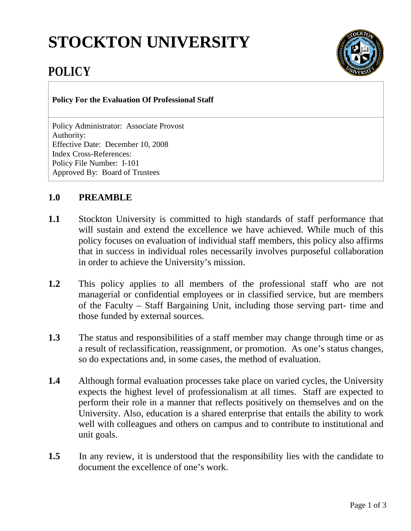# **STOCKTON UNIVERSITY**



# **POLICY**

#### **Policy For the Evaluation Of Professional Staff**

Policy Administrator: Associate Provost Authority: Effective Date: December 10, 2008 Index Cross-References: Policy File Number: I-101 Approved By: Board of Trustees

## **1.0 PREAMBLE**

- **1.1** Stockton University is committed to high standards of staff performance that will sustain and extend the excellence we have achieved. While much of this policy focuses on evaluation of individual staff members, this policy also affirms that in success in individual roles necessarily involves purposeful collaboration in order to achieve the University's mission.
- **1.2** This policy applies to all members of the professional staff who are not managerial or confidential employees or in classified service, but are members of the Faculty – Staff Bargaining Unit, including those serving part- time and those funded by external sources.
- **1.3** The status and responsibilities of a staff member may change through time or as a result of reclassification, reassignment, or promotion. As one's status changes, so do expectations and, in some cases, the method of evaluation.
- **1.4** Although formal evaluation processes take place on varied cycles, the University expects the highest level of professionalism at all times. Staff are expected to perform their role in a manner that reflects positively on themselves and on the University. Also, education is a shared enterprise that entails the ability to work well with colleagues and others on campus and to contribute to institutional and unit goals.
- **1.5** In any review, it is understood that the responsibility lies with the candidate to document the excellence of one's work.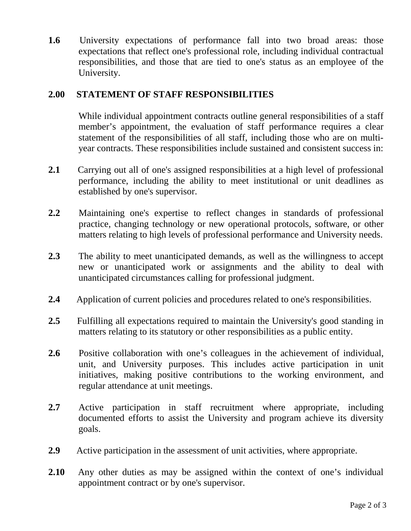**1.6** University expectations of performance fall into two broad areas: those expectations that reflect one's professional role, including individual contractual responsibilities, and those that are tied to one's status as an employee of the University.

### **2.00 STATEMENT OF STAFF RESPONSIBILITIES**

While individual appointment contracts outline general responsibilities of a staff member's appointment, the evaluation of staff performance requires a clear statement of the responsibilities of all staff, including those who are on multiyear contracts. These responsibilities include sustained and consistent success in:

- **2.1** Carrying out all of one's assigned responsibilities at a high level of professional performance, including the ability to meet institutional or unit deadlines as established by one's supervisor.
- **2.2** Maintaining one's expertise to reflect changes in standards of professional practice, changing technology or new operational protocols, software, or other matters relating to high levels of professional performance and University needs.
- **2.3** The ability to meet unanticipated demands, as well as the willingness to accept new or unanticipated work or assignments and the ability to deal with unanticipated circumstances calling for professional judgment.
- **2.4** Application of current policies and procedures related to one's responsibilities.
- **2.5** Fulfilling all expectations required to maintain the University's good standing in matters relating to its statutory or other responsibilities as a public entity.
- **2.6** Positive collaboration with one's colleagues in the achievement of individual, unit, and University purposes. This includes active participation in unit initiatives, making positive contributions to the working environment, and regular attendance at unit meetings.
- **2.7** Active participation in staff recruitment where appropriate, including documented efforts to assist the University and program achieve its diversity goals.
- **2.9** Active participation in the assessment of unit activities, where appropriate.
- **2.10** Any other duties as may be assigned within the context of one's individual appointment contract or by one's supervisor.